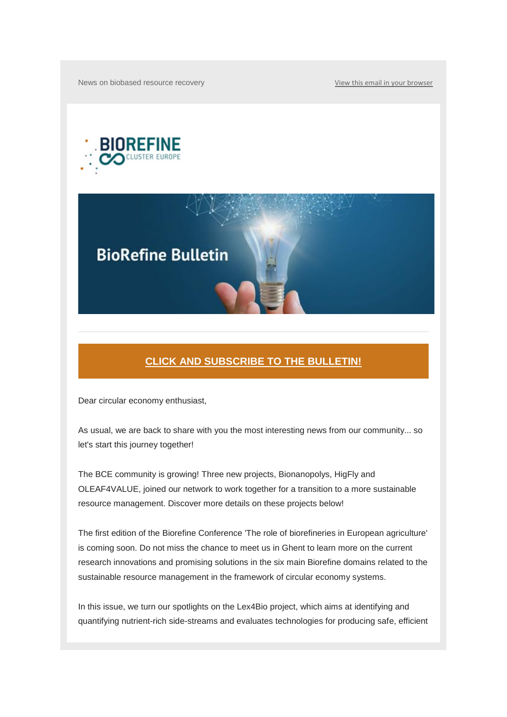News on biobased resource recovery view view view this email in your browser





# **[CLICK AND SUBSCRIBE TO THE BULLETIN!](https://eur03.safelinks.protection.outlook.com/?url=https%3A%2F%2Fbiorefine.us16.list-manage.com%2Ftrack%2Fclick%3Fu%3Daceea0a47657202bfe88eed28%26id%3D378d84314b%26e%3D527ddf0f1e&data=05%7C01%7CMargherita.Genua%40ugent.be%7C0fc5840f842041328a2308da29ef4446%7Cd7811cdeecef496c8f91a1786241b99c%7C1%7C0%7C637868405482517136%7CUnknown%7CTWFpbGZsb3d8eyJWIjoiMC4wLjAwMDAiLCJQIjoiV2luMzIiLCJBTiI6Ik1haWwiLCJXVCI6Mn0%3D%7C3000%7C%7C%7C&sdata=mIL0wBoXZPhtLvNrxPzWRqZIRiUtTgxMZi%2BMA%2BOGLc0%3D&reserved=0)**

Dear circular economy enthusiast,

As usual, we are back to share with you the most interesting news from our community... so let's start this journey together!

The BCE community is growing! Three new projects, Bionanopolys, HigFly and OLEAF4VALUE, joined our network to work together for a transition to a more sustainable resource management. Discover more details on these projects below!

The first edition of the Biorefine Conference 'The role of biorefineries in European agriculture' is coming soon. Do not miss the chance to meet us in Ghent to learn more on the current research innovations and promising solutions in the six main Biorefine domains related to the sustainable resource management in the framework of circular economy systems.

In this issue, we turn our spotlights on the Lex4Bio project, which aims at identifying and quantifying nutrient-rich side-streams and evaluates technologies for producing safe, efficient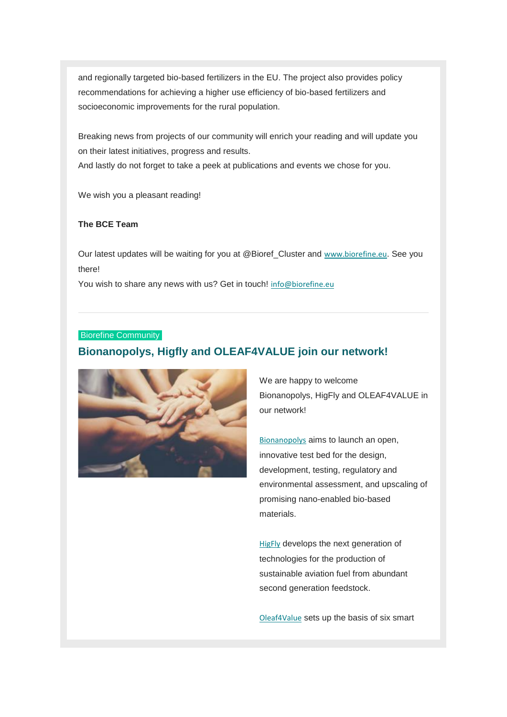and regionally targeted bio-based fertilizers in the EU. The project also provides policy recommendations for achieving a higher use efficiency of bio-based fertilizers and socioeconomic improvements for the rural population.

Breaking news from projects of our community will enrich your reading and will update you on their latest initiatives, progress and results.

And lastly do not forget to take a peek at publications and events we chose for you.

We wish you a pleasant reading!

### **The BCE Team**

Our latest updates will be waiting for you at @Bioref\_Cluster and [www.biorefine.eu](https://eur03.safelinks.protection.outlook.com/?url=https%3A%2F%2Fbiorefine.us16.list-manage.com%2Ftrack%2Fclick%3Fu%3Daceea0a47657202bfe88eed28%26id%3D6967f14a50%26e%3D527ddf0f1e&data=05%7C01%7CMargherita.Genua%40ugent.be%7C0fc5840f842041328a2308da29ef4446%7Cd7811cdeecef496c8f91a1786241b99c%7C1%7C0%7C637868405482517136%7CUnknown%7CTWFpbGZsb3d8eyJWIjoiMC4wLjAwMDAiLCJQIjoiV2luMzIiLCJBTiI6Ik1haWwiLCJXVCI6Mn0%3D%7C3000%7C%7C%7C&sdata=ptUBHtdrIl%2FMKPPCEudXiuHlgwEJdFWARUTsQVldpXo%3D&reserved=0). See you there! You wish to share any news with us? Get in touch! [info@biorefine.eu](mailto:info@biorefine.eu)

### Biorefine Community

# **Bionanopolys, Higfly and OLEAF4VALUE join our network!**



We are happy to welcome Bionanopolys, HigFly and OLEAF4VALUE in our network!

**[Bionanopolys](https://eur03.safelinks.protection.outlook.com/?url=https%3A%2F%2Fbiorefine.us16.list-manage.com%2Ftrack%2Fclick%3Fu%3Daceea0a47657202bfe88eed28%26id%3D373848d2ed%26e%3D527ddf0f1e&data=05%7C01%7CMargherita.Genua%40ugent.be%7C0fc5840f842041328a2308da29ef4446%7Cd7811cdeecef496c8f91a1786241b99c%7C1%7C0%7C637868405482517136%7CUnknown%7CTWFpbGZsb3d8eyJWIjoiMC4wLjAwMDAiLCJQIjoiV2luMzIiLCJBTiI6Ik1haWwiLCJXVCI6Mn0%3D%7C3000%7C%7C%7C&sdata=8FMocQSGptN%2FS9LarozUzbhtyhaq8X0PWKnwpTWntGk%3D&reserved=0)** aims to launch an open, innovative test bed for the design, development, testing, regulatory and environmental assessment, and upscaling of promising nano-enabled bio-based materials.

**[HigFly](https://eur03.safelinks.protection.outlook.com/?url=https%3A%2F%2Fbiorefine.us16.list-manage.com%2Ftrack%2Fclick%3Fu%3Daceea0a47657202bfe88eed28%26id%3D61f9652a9e%26e%3D527ddf0f1e&data=05%7C01%7CMargherita.Genua%40ugent.be%7C0fc5840f842041328a2308da29ef4446%7Cd7811cdeecef496c8f91a1786241b99c%7C1%7C0%7C637868405482517136%7CUnknown%7CTWFpbGZsb3d8eyJWIjoiMC4wLjAwMDAiLCJQIjoiV2luMzIiLCJBTiI6Ik1haWwiLCJXVCI6Mn0%3D%7C3000%7C%7C%7C&sdata=Vd6V6bclPOsl1fw8mMyioijm32gIv5w6ZlmnCB64tRI%3D&reserved=0) develops the next generation of** technologies for the production of sustainable aviation fuel from abundant second generation feedstock.

[Oleaf4Value](https://eur03.safelinks.protection.outlook.com/?url=https%3A%2F%2Fbiorefine.us16.list-manage.com%2Ftrack%2Fclick%3Fu%3Daceea0a47657202bfe88eed28%26id%3Da4c15dd63c%26e%3D527ddf0f1e&data=05%7C01%7CMargherita.Genua%40ugent.be%7C0fc5840f842041328a2308da29ef4446%7Cd7811cdeecef496c8f91a1786241b99c%7C1%7C0%7C637868405482517136%7CUnknown%7CTWFpbGZsb3d8eyJWIjoiMC4wLjAwMDAiLCJQIjoiV2luMzIiLCJBTiI6Ik1haWwiLCJXVCI6Mn0%3D%7C3000%7C%7C%7C&sdata=qGr88FhY%2FSUuH5HyeALAxWjYZ5XPe2kjiG2ewck91BU%3D&reserved=0) sets up the basis of six smart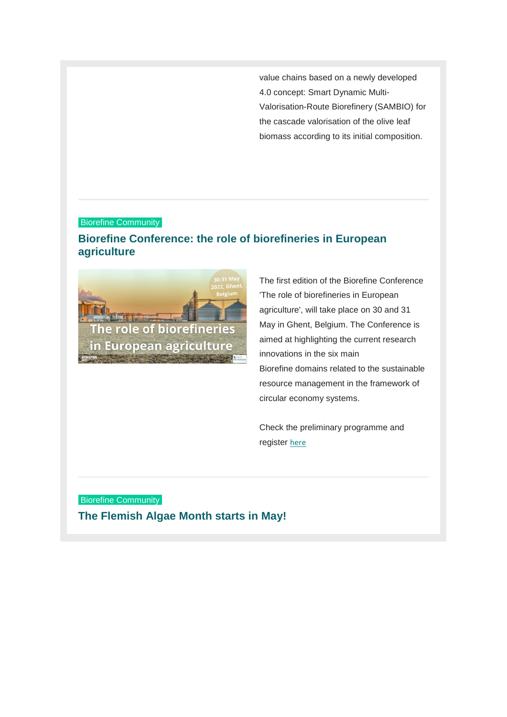value chains based on a newly developed 4.0 concept: Smart Dynamic Multi-Valorisation-Route Biorefinery (SAMBIO) for the cascade valorisation of the olive leaf biomass according to its initial composition.

### **Biorefine Community**

# **Biorefine Conference: the role of biorefineries in European agriculture**



The first edition of the Biorefine Conference 'The role of biorefineries in European agriculture', will take place on 30 and 31 May in Ghent, Belgium. The Conference is aimed at highlighting the current research innovations in the six main Biorefine domains related to the sustainable resource management in the framework of circular economy systems.

Check the preliminary programme and register [here](https://eur03.safelinks.protection.outlook.com/?url=https%3A%2F%2Fbiorefine.us16.list-manage.com%2Ftrack%2Fclick%3Fu%3Daceea0a47657202bfe88eed28%26id%3D0a918334a9%26e%3D527ddf0f1e&data=05%7C01%7CMargherita.Genua%40ugent.be%7C0fc5840f842041328a2308da29ef4446%7Cd7811cdeecef496c8f91a1786241b99c%7C1%7C0%7C637868405482517136%7CUnknown%7CTWFpbGZsb3d8eyJWIjoiMC4wLjAwMDAiLCJQIjoiV2luMzIiLCJBTiI6Ik1haWwiLCJXVCI6Mn0%3D%7C3000%7C%7C%7C&sdata=msHF8wqfc%2BYwoALC5WLb4pNxOm3h%2B8SnaR%2FQL7%2Bffng%3D&reserved=0)

# **Biorefine Community**

**The Flemish Algae Month starts in May!**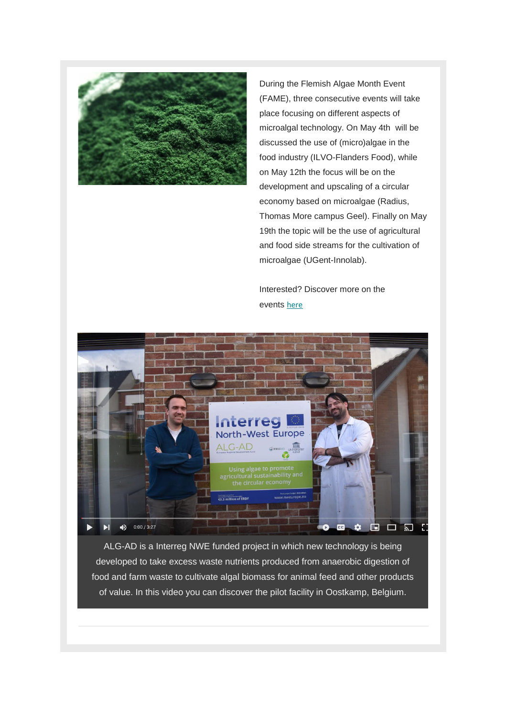

During the Flemish Algae Month Event (FAME), three consecutive events will take place focusing on different aspects of microalgal technology. On May 4th will be discussed the use of (micro)algae in the food industry (ILVO-Flanders Food), while on May 12th the focus will be on the development and upscaling of a circular economy based on microalgae (Radius, Thomas More campus Geel). Finally on May 19th the topic will be the use of agricultural and food side streams for the cultivation of microalgae (UGent-Innolab).

Interested? Discover more on the events [here](https://eur03.safelinks.protection.outlook.com/?url=https%3A%2F%2Fbiorefine.us16.list-manage.com%2Ftrack%2Fclick%3Fu%3Daceea0a47657202bfe88eed28%26id%3D673441ce79%26e%3D527ddf0f1e&data=05%7C01%7CMargherita.Genua%40ugent.be%7C0fc5840f842041328a2308da29ef4446%7Cd7811cdeecef496c8f91a1786241b99c%7C1%7C0%7C637868405482517136%7CUnknown%7CTWFpbGZsb3d8eyJWIjoiMC4wLjAwMDAiLCJQIjoiV2luMzIiLCJBTiI6Ik1haWwiLCJXVCI6Mn0%3D%7C3000%7C%7C%7C&sdata=fSBaBm%2FuNwHfkBUwgeZB79ukcsin35WxjeZxNNlc5jM%3D&reserved=0)



ALG-AD is a Interreg NWE funded project in which new technology is being developed to take excess waste nutrients produced from anaerobic digestion of food and farm waste to cultivate algal biomass for animal feed and other products of value. In this video you can discover the pilot facility in Oostkamp, Belgium.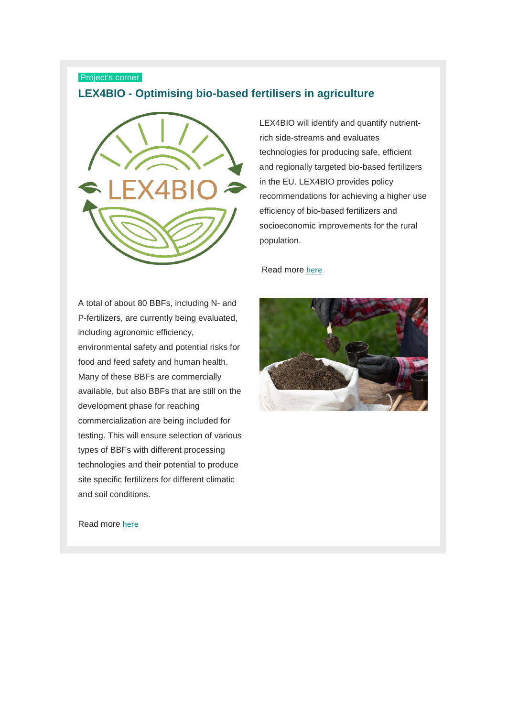## Project's corner

## **LEX4BIO - Optimising bio-based fertilisers in agriculture**



LEX4BIO will identify and quantify nutrientrich side-streams and evaluates technologies for producing safe, efficient and regionally targeted bio-based fertilizers in the EU. LEX4BIO provides policy recommendations for achieving a higher use efficiency of bio-based fertilizers and socioeconomic improvements for the rural population.

#### Read more [here](https://eur03.safelinks.protection.outlook.com/?url=https%3A%2F%2Fbiorefine.us16.list-manage.com%2Ftrack%2Fclick%3Fu%3Daceea0a47657202bfe88eed28%26id%3D9f25d6e999%26e%3D527ddf0f1e&data=05%7C01%7CMargherita.Genua%40ugent.be%7C0fc5840f842041328a2308da29ef4446%7Cd7811cdeecef496c8f91a1786241b99c%7C1%7C0%7C637868405482517136%7CUnknown%7CTWFpbGZsb3d8eyJWIjoiMC4wLjAwMDAiLCJQIjoiV2luMzIiLCJBTiI6Ik1haWwiLCJXVCI6Mn0%3D%7C3000%7C%7C%7C&sdata=Mmyetu4Ljk2eW09loter5wd4%2B2ZxzFTvdJTzFhXiVHA%3D&reserved=0)

A total of about 80 BBFs, including N- and P-fertilizers, are currently being evaluated, including agronomic efficiency, environmental safety and potential risks for food and feed safety and human health. Many of these BBFs are commercially available, but also BBFs that are still on the development phase for reaching commercialization are being included for testing. This will ensure selection of various types of BBFs with different processing technologies and their potential to produce site specific fertilizers for different climatic and soil conditions.



Read more [here](https://eur03.safelinks.protection.outlook.com/?url=https%3A%2F%2Fbiorefine.us16.list-manage.com%2Ftrack%2Fclick%3Fu%3Daceea0a47657202bfe88eed28%26id%3Dee31fff2f5%26e%3D527ddf0f1e&data=05%7C01%7CMargherita.Genua%40ugent.be%7C0fc5840f842041328a2308da29ef4446%7Cd7811cdeecef496c8f91a1786241b99c%7C1%7C0%7C637868405482517136%7CUnknown%7CTWFpbGZsb3d8eyJWIjoiMC4wLjAwMDAiLCJQIjoiV2luMzIiLCJBTiI6Ik1haWwiLCJXVCI6Mn0%3D%7C3000%7C%7C%7C&sdata=fTqWFrIvzS0RRUIDs3Gc81IWQcl7lbwoxKi8xqPS4PE%3D&reserved=0)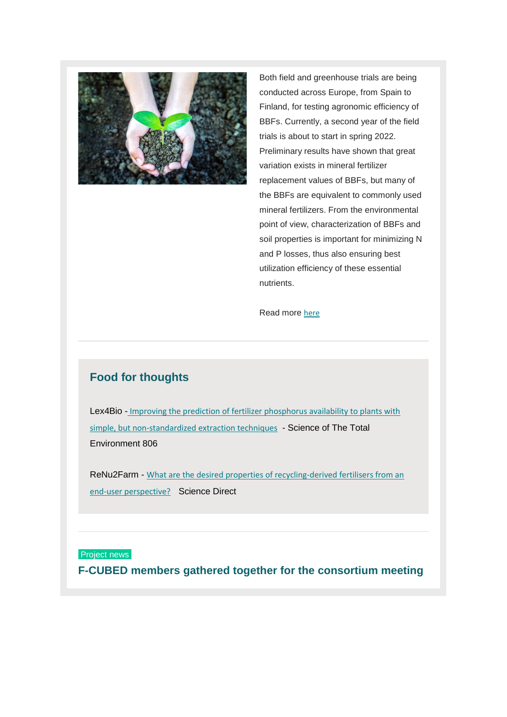

Both field and greenhouse trials are being conducted across Europe, from Spain to Finland, for testing agronomic efficiency of BBFs. Currently, a second year of the field trials is about to start in spring 2022. Preliminary results have shown that great variation exists in mineral fertilizer replacement values of BBFs, but many of the BBFs are equivalent to commonly used mineral fertilizers. From the environmental point of view, characterization of BBFs and soil properties is important for minimizing N and P losses, thus also ensuring best utilization efficiency of these essential nutrients.

Read more [here](https://eur03.safelinks.protection.outlook.com/?url=https%3A%2F%2Fbiorefine.us16.list-manage.com%2Ftrack%2Fclick%3Fu%3Daceea0a47657202bfe88eed28%26id%3Dfccd46e285%26e%3D527ddf0f1e&data=05%7C01%7CMargherita.Genua%40ugent.be%7C0fc5840f842041328a2308da29ef4446%7Cd7811cdeecef496c8f91a1786241b99c%7C1%7C0%7C637868405482517136%7CUnknown%7CTWFpbGZsb3d8eyJWIjoiMC4wLjAwMDAiLCJQIjoiV2luMzIiLCJBTiI6Ik1haWwiLCJXVCI6Mn0%3D%7C3000%7C%7C%7C&sdata=ez7wuNqiFQM6IZnmd730ETqf%2FGz4Fe0BR8kvIylAYHc%3D&reserved=0)

# **Food for thoughts**

Lex4Bio - Improving the prediction of fertilizer phosphorus availability to plants with [simple, but non-standardized extraction techniques](https://eur03.safelinks.protection.outlook.com/?url=https%3A%2F%2Fbiorefine.us16.list-manage.com%2Ftrack%2Fclick%3Fu%3Daceea0a47657202bfe88eed28%26id%3Dfefb1980c4%26e%3D527ddf0f1e&data=05%7C01%7CMargherita.Genua%40ugent.be%7C0fc5840f842041328a2308da29ef4446%7Cd7811cdeecef496c8f91a1786241b99c%7C1%7C0%7C637868405482517136%7CUnknown%7CTWFpbGZsb3d8eyJWIjoiMC4wLjAwMDAiLCJQIjoiV2luMzIiLCJBTiI6Ik1haWwiLCJXVCI6Mn0%3D%7C3000%7C%7C%7C&sdata=o%2B8W2Jseex%2F27wywn1yLeOj9%2FIzIoB4HksvJArQlDO4%3D&reserved=0) - Science of The Total Environment 806

ReNu2Farm - [What are the desired properties of recycling-derived fertilisers from an](https://eur03.safelinks.protection.outlook.com/?url=https%3A%2F%2Fbiorefine.us16.list-manage.com%2Ftrack%2Fclick%3Fu%3Daceea0a47657202bfe88eed28%26id%3D0001ef2f1e%26e%3D527ddf0f1e&data=05%7C01%7CMargherita.Genua%40ugent.be%7C0fc5840f842041328a2308da29ef4446%7Cd7811cdeecef496c8f91a1786241b99c%7C1%7C0%7C637868405482517136%7CUnknown%7CTWFpbGZsb3d8eyJWIjoiMC4wLjAwMDAiLCJQIjoiV2luMzIiLCJBTiI6Ik1haWwiLCJXVCI6Mn0%3D%7C3000%7C%7C%7C&sdata=7MEfPNpFcycW0m4TS4e6oQXGQPA%2FCbx17W6sGzMs7IY%3D&reserved=0)  [end-user perspective?](https://eur03.safelinks.protection.outlook.com/?url=https%3A%2F%2Fbiorefine.us16.list-manage.com%2Ftrack%2Fclick%3Fu%3Daceea0a47657202bfe88eed28%26id%3D0001ef2f1e%26e%3D527ddf0f1e&data=05%7C01%7CMargherita.Genua%40ugent.be%7C0fc5840f842041328a2308da29ef4446%7Cd7811cdeecef496c8f91a1786241b99c%7C1%7C0%7C637868405482517136%7CUnknown%7CTWFpbGZsb3d8eyJWIjoiMC4wLjAwMDAiLCJQIjoiV2luMzIiLCJBTiI6Ik1haWwiLCJXVCI6Mn0%3D%7C3000%7C%7C%7C&sdata=7MEfPNpFcycW0m4TS4e6oQXGQPA%2FCbx17W6sGzMs7IY%3D&reserved=0) - Science Direct

## Project news

**F-CUBED members gathered together for the consortium meeting**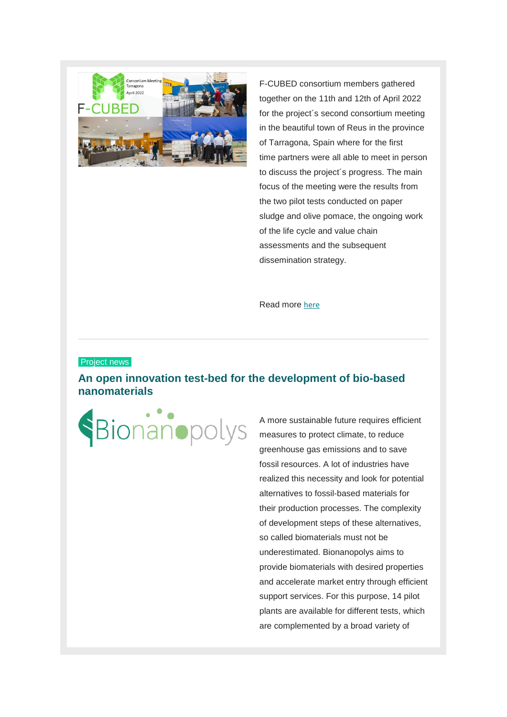

F-CUBED consortium members gathered together on the 11th and 12th of April 2022 for the project´s second consortium meeting in the beautiful town of Reus in the province of Tarragona, Spain where for the first time partners were all able to meet in person to discuss the project´s progress. The main focus of the meeting were the results from the two pilot tests conducted on paper sludge and olive pomace, the ongoing work of the life cycle and value chain assessments and the subsequent dissemination strategy.

Read more [here](https://eur03.safelinks.protection.outlook.com/?url=https%3A%2F%2Fbiorefine.us16.list-manage.com%2Ftrack%2Fclick%3Fu%3Daceea0a47657202bfe88eed28%26id%3Da4cd4a03e8%26e%3D527ddf0f1e&data=05%7C01%7CMargherita.Genua%40ugent.be%7C0fc5840f842041328a2308da29ef4446%7Cd7811cdeecef496c8f91a1786241b99c%7C1%7C0%7C637868405482517136%7CUnknown%7CTWFpbGZsb3d8eyJWIjoiMC4wLjAwMDAiLCJQIjoiV2luMzIiLCJBTiI6Ik1haWwiLCJXVCI6Mn0%3D%7C3000%7C%7C%7C&sdata=bB%2FZOHTWGRt1GveiKXCsq4RZT512yP1IakL983WxKqI%3D&reserved=0)

### Project news

## **An open innovation test-bed for the development of bio-based nanomaterials**

Sionanopolys

A more sustainable future requires efficient measures to protect climate, to reduce greenhouse gas emissions and to save fossil resources. A lot of industries have realized this necessity and look for potential alternatives to fossil-based materials for their production processes. The complexity of development steps of these alternatives, so called biomaterials must not be underestimated. Bionanopolys aims to provide biomaterials with desired properties and accelerate market entry through efficient support services. For this purpose, 14 pilot plants are available for different tests, which are complemented by a broad variety of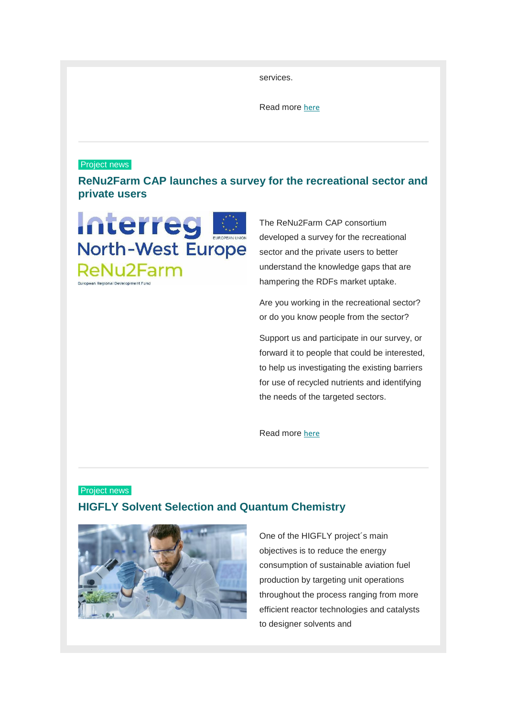services.

Read more [here](https://eur03.safelinks.protection.outlook.com/?url=https%3A%2F%2Fbiorefine.us16.list-manage.com%2Ftrack%2Fclick%3Fu%3Daceea0a47657202bfe88eed28%26id%3D18cebe852f%26e%3D527ddf0f1e&data=05%7C01%7CMargherita.Genua%40ugent.be%7C0fc5840f842041328a2308da29ef4446%7Cd7811cdeecef496c8f91a1786241b99c%7C1%7C0%7C637868405482517136%7CUnknown%7CTWFpbGZsb3d8eyJWIjoiMC4wLjAwMDAiLCJQIjoiV2luMzIiLCJBTiI6Ik1haWwiLCJXVCI6Mn0%3D%7C3000%7C%7C%7C&sdata=DYSQnKoqQc64Ir4xBp64yh2gx5qiOx4%2FCLkcxSwgRWc%3D&reserved=0)

### Project news

**ReNu2Farm CAP launches a survey for the recreational sector and private users**

**Interreg North-West Europe ReNu2Farm European Regional Development Fund** 

The ReNu2Farm CAP consortium developed a survey for the recreational sector and the private users to better understand the knowledge gaps that are hampering the RDFs market uptake.

Are you working in the recreational sector? or do you know people from the sector?

Support us and participate in our survey, or forward it to people that could be interested, to help us investigating the existing barriers for use of recycled nutrients and identifying the needs of the targeted sectors.

Read more [here](https://eur03.safelinks.protection.outlook.com/?url=https%3A%2F%2Fbiorefine.us16.list-manage.com%2Ftrack%2Fclick%3Fu%3Daceea0a47657202bfe88eed28%26id%3D2452d88c97%26e%3D527ddf0f1e&data=05%7C01%7CMargherita.Genua%40ugent.be%7C0fc5840f842041328a2308da29ef4446%7Cd7811cdeecef496c8f91a1786241b99c%7C1%7C0%7C637868405482517136%7CUnknown%7CTWFpbGZsb3d8eyJWIjoiMC4wLjAwMDAiLCJQIjoiV2luMzIiLCJBTiI6Ik1haWwiLCJXVCI6Mn0%3D%7C3000%7C%7C%7C&sdata=oh1wBQloPwsIzKGO%2FfynhsVlGU3MwivIOXh%2FLJV86Ws%3D&reserved=0)

### Project news

# **HIGFLY Solvent Selection and Quantum Chemistry**



One of the HIGFLY project´s main objectives is to reduce the energy consumption of sustainable aviation fuel production by targeting unit operations throughout the process ranging from more efficient reactor technologies and catalysts to designer solvents and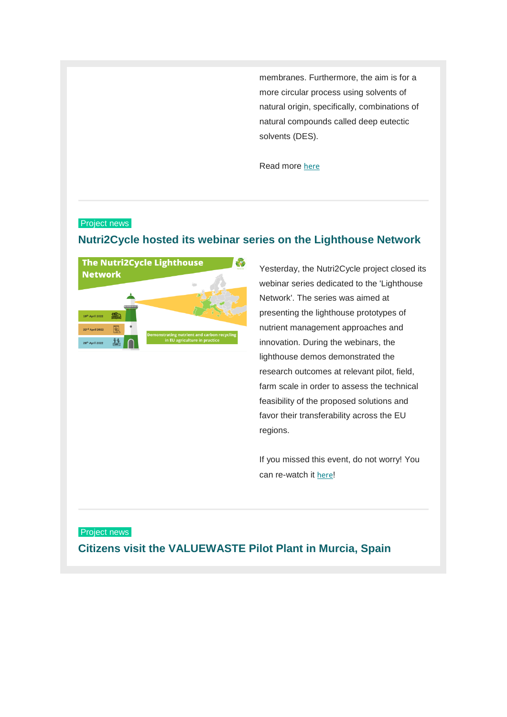membranes. Furthermore, the aim is for a more circular process using solvents of natural origin, specifically, combinations of natural compounds called deep eutectic solvents (DES).

Read more [here](https://eur03.safelinks.protection.outlook.com/?url=https%3A%2F%2Fbiorefine.us16.list-manage.com%2Ftrack%2Fclick%3Fu%3Daceea0a47657202bfe88eed28%26id%3D7bb2857be9%26e%3D527ddf0f1e&data=05%7C01%7CMargherita.Genua%40ugent.be%7C0fc5840f842041328a2308da29ef4446%7Cd7811cdeecef496c8f91a1786241b99c%7C1%7C0%7C637868405482517136%7CUnknown%7CTWFpbGZsb3d8eyJWIjoiMC4wLjAwMDAiLCJQIjoiV2luMzIiLCJBTiI6Ik1haWwiLCJXVCI6Mn0%3D%7C3000%7C%7C%7C&sdata=I43TAZApBlF6wtlzaim6gMGS40lRoS0v1cSEVOnWy9Q%3D&reserved=0)

### Project news

## **Nutri2Cycle hosted its webinar series on the Lighthouse Network**



Yesterday, the Nutri2Cycle project closed its webinar series dedicated to the 'Lighthouse Network'. The series was aimed at presenting the lighthouse prototypes of nutrient management approaches and innovation. During the webinars, the lighthouse demos demonstrated the research outcomes at relevant pilot, field, farm scale in order to assess the technical feasibility of the proposed solutions and favor their transferability across the EU regions.

If you missed this event, do not worry! You can re-watch it [here](https://eur03.safelinks.protection.outlook.com/?url=https%3A%2F%2Fbiorefine.us16.list-manage.com%2Ftrack%2Fclick%3Fu%3Daceea0a47657202bfe88eed28%26id%3Dac501b098c%26e%3D527ddf0f1e&data=05%7C01%7CMargherita.Genua%40ugent.be%7C0fc5840f842041328a2308da29ef4446%7Cd7811cdeecef496c8f91a1786241b99c%7C1%7C0%7C637868405482517136%7CUnknown%7CTWFpbGZsb3d8eyJWIjoiMC4wLjAwMDAiLCJQIjoiV2luMzIiLCJBTiI6Ik1haWwiLCJXVCI6Mn0%3D%7C3000%7C%7C%7C&sdata=nbZTfKW1bp4voAWe0tBNalYcecda4Ycp6MqqirHufWE%3D&reserved=0)!

# Project news **Citizens visit the VALUEWASTE Pilot Plant in Murcia, Spain**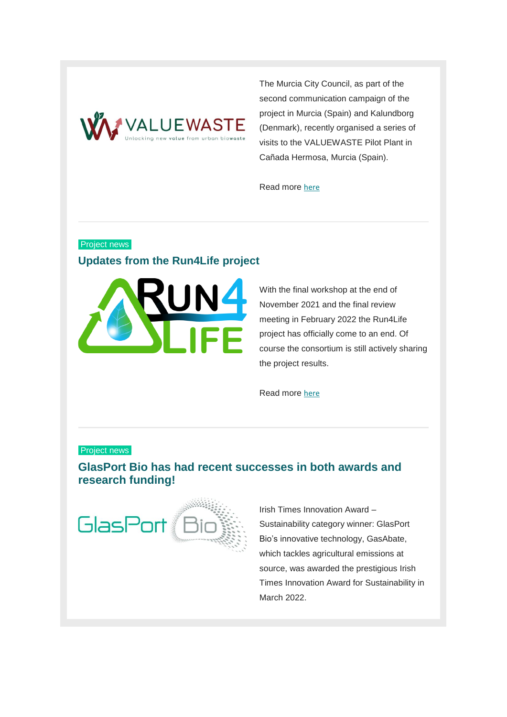

The Murcia City Council, as part of the second communication campaign of the project in Murcia (Spain) and Kalundborg (Denmark), recently organised a series of visits to the VALUEWASTE Pilot Plant in Cañada Hermosa, Murcia (Spain).

Read more [here](https://eur03.safelinks.protection.outlook.com/?url=https%3A%2F%2Fbiorefine.us16.list-manage.com%2Ftrack%2Fclick%3Fu%3Daceea0a47657202bfe88eed28%26id%3D4c926cc2f7%26e%3D527ddf0f1e&data=05%7C01%7CMargherita.Genua%40ugent.be%7C0fc5840f842041328a2308da29ef4446%7Cd7811cdeecef496c8f91a1786241b99c%7C1%7C0%7C637868405482517136%7CUnknown%7CTWFpbGZsb3d8eyJWIjoiMC4wLjAwMDAiLCJQIjoiV2luMzIiLCJBTiI6Ik1haWwiLCJXVCI6Mn0%3D%7C3000%7C%7C%7C&sdata=%2F0hogGX%2FzVukxcmqxqr48p7RSwzsklATZymVYCjIYKI%3D&reserved=0)

### Project news

# **Updates from the Run4Life project**



With the final workshop at the end of November 2021 and the final review meeting in February 2022 the Run4Life project has officially come to an end. Of course the consortium is still actively sharing the project results.

Read more [here](https://eur03.safelinks.protection.outlook.com/?url=https%3A%2F%2Fbiorefine.us16.list-manage.com%2Ftrack%2Fclick%3Fu%3Daceea0a47657202bfe88eed28%26id%3D07d456bc64%26e%3D527ddf0f1e&data=05%7C01%7CMargherita.Genua%40ugent.be%7C0fc5840f842041328a2308da29ef4446%7Cd7811cdeecef496c8f91a1786241b99c%7C1%7C0%7C637868405482517136%7CUnknown%7CTWFpbGZsb3d8eyJWIjoiMC4wLjAwMDAiLCJQIjoiV2luMzIiLCJBTiI6Ik1haWwiLCJXVCI6Mn0%3D%7C3000%7C%7C%7C&sdata=lCGqk28xCTIQs9SN3LtL34K9XQQoi%2BxYM7QRswXhY4A%3D&reserved=0)

#### Project news

# **GlasPort Bio has had recent successes in both awards and research funding!**



Irish Times Innovation Award – Sustainability category winner: GlasPort Bio's innovative technology, GasAbate, which tackles agricultural emissions at source, was awarded the prestigious Irish Times Innovation Award for Sustainability in March 2022.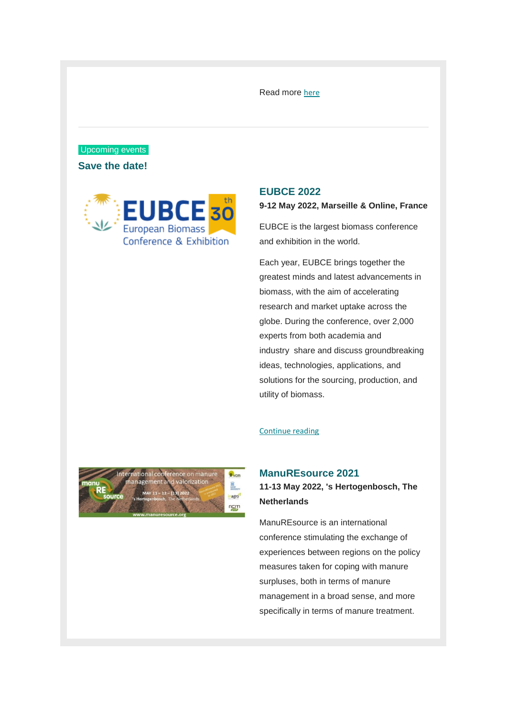#### Read more [here](https://eur03.safelinks.protection.outlook.com/?url=https%3A%2F%2Fbiorefine.us16.list-manage.com%2Ftrack%2Fclick%3Fu%3Daceea0a47657202bfe88eed28%26id%3D7bda93ad9f%26e%3D527ddf0f1e&data=05%7C01%7CMargherita.Genua%40ugent.be%7C0fc5840f842041328a2308da29ef4446%7Cd7811cdeecef496c8f91a1786241b99c%7C1%7C0%7C637868405482517136%7CUnknown%7CTWFpbGZsb3d8eyJWIjoiMC4wLjAwMDAiLCJQIjoiV2luMzIiLCJBTiI6Ik1haWwiLCJXVCI6Mn0%3D%7C3000%7C%7C%7C&sdata=NqOwRfT5nceSUaWTrfvft%2FZS7ys2ei0V7tqemcyzD2Q%3D&reserved=0)

#### Upcoming events

**Save the date!**



### **EUBCE 2022**

**9-12 May 2022, Marseille & Online, France**

EUBCE is the largest biomass conference and exhibition in the world.

Each year, EUBCE brings together the greatest minds and latest advancements in biomass, with the aim of accelerating research and market uptake across the globe. During the conference, over 2,000 experts from both academia and industry share and discuss groundbreaking ideas, technologies, applications, and solutions for the sourcing, production, and utility of biomass.

#### [Continue reading](https://eur03.safelinks.protection.outlook.com/?url=https%3A%2F%2Fbiorefine.us16.list-manage.com%2Ftrack%2Fclick%3Fu%3Daceea0a47657202bfe88eed28%26id%3D03625c95c2%26e%3D527ddf0f1e&data=05%7C01%7CMargherita.Genua%40ugent.be%7C0fc5840f842041328a2308da29ef4446%7Cd7811cdeecef496c8f91a1786241b99c%7C1%7C0%7C637868405482517136%7CUnknown%7CTWFpbGZsb3d8eyJWIjoiMC4wLjAwMDAiLCJQIjoiV2luMzIiLCJBTiI6Ik1haWwiLCJXVCI6Mn0%3D%7C3000%7C%7C%7C&sdata=B1yPOdwDxYpZ%2B0C17NxTLqhiKjMYpfpIJ9OtlPgQ34w%3D&reserved=0)



## **ManuREsource 2021 11-13 May 2022, 's Hertogenbosch, The Netherlands**

ManuREsource is an international conference stimulating the exchange of experiences between regions on the policy measures taken for coping with manure surpluses, both in terms of manure management in a broad sense, and more specifically in terms of manure treatment.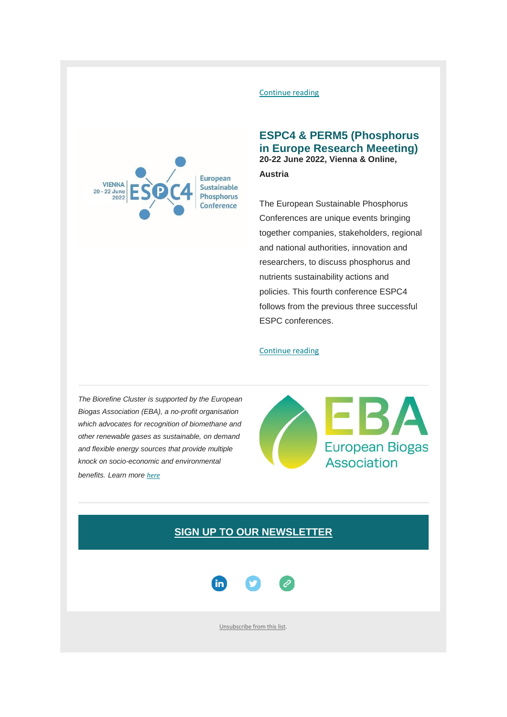#### [Continue reading](https://eur03.safelinks.protection.outlook.com/?url=https%3A%2F%2Fbiorefine.us16.list-manage.com%2Ftrack%2Fclick%3Fu%3Daceea0a47657202bfe88eed28%26id%3D0f0128c551%26e%3D527ddf0f1e&data=05%7C01%7CMargherita.Genua%40ugent.be%7C0fc5840f842041328a2308da29ef4446%7Cd7811cdeecef496c8f91a1786241b99c%7C1%7C0%7C637868405482517136%7CUnknown%7CTWFpbGZsb3d8eyJWIjoiMC4wLjAwMDAiLCJQIjoiV2luMzIiLCJBTiI6Ik1haWwiLCJXVCI6Mn0%3D%7C3000%7C%7C%7C&sdata=rvN2rsPD4%2FsVRKKIWjnYO2nfEdLIUx77UKST%2FzLu%2BqQ%3D&reserved=0)

# **ESPC4 & PERM5 (Phosphorus in Europe Research Meeeting) 20-22 June 2022, Vienna & Online,**

**Austria**

European

Sustainable

**Phosphorus** Conference

The European Sustainable Phosphorus Conferences are unique events bringing together companies, stakeholders, regional and national authorities, innovation and researchers, to discuss phosphorus and nutrients sustainability actions and policies. This fourth conference ESPC4 follows from the previous three successful ESPC conferences.

#### [Continue reading](https://eur03.safelinks.protection.outlook.com/?url=https%3A%2F%2Fbiorefine.us16.list-manage.com%2Ftrack%2Fclick%3Fu%3Daceea0a47657202bfe88eed28%26id%3D249c1b53e9%26e%3D527ddf0f1e&data=05%7C01%7CMargherita.Genua%40ugent.be%7C0fc5840f842041328a2308da29ef4446%7Cd7811cdeecef496c8f91a1786241b99c%7C1%7C0%7C637868405482517136%7CUnknown%7CTWFpbGZsb3d8eyJWIjoiMC4wLjAwMDAiLCJQIjoiV2luMzIiLCJBTiI6Ik1haWwiLCJXVCI6Mn0%3D%7C3000%7C%7C%7C&sdata=AyMLoeTx7kkAp3EnAZcW8vaa54ysDcwAfBvlODEavF4%3D&reserved=0)

*The Biorefine Cluster is supported by the European Biogas Association (EBA), a no-profit organisation which advocates for recognition of biomethane and other renewable gases as sustainable, on demand and flexible energy sources that provide multiple knock on socio-economic and environmental benefits. Learn more [here](https://eur03.safelinks.protection.outlook.com/?url=https%3A%2F%2Fbiorefine.us16.list-manage.com%2Ftrack%2Fclick%3Fu%3Daceea0a47657202bfe88eed28%26id%3D35a5f71d66%26e%3D527ddf0f1e&data=05%7C01%7CMargherita.Genua%40ugent.be%7C0fc5840f842041328a2308da29ef4446%7Cd7811cdeecef496c8f91a1786241b99c%7C1%7C0%7C637868405482517136%7CUnknown%7CTWFpbGZsb3d8eyJWIjoiMC4wLjAwMDAiLCJQIjoiV2luMzIiLCJBTiI6Ik1haWwiLCJXVCI6Mn0%3D%7C3000%7C%7C%7C&sdata=IF0E%2FGRU8tbs7sqdzrTAQ%2Birvehow39DnUHcp4VU96M%3D&reserved=0)*

**VIENNA** 

20 - 22 June



## **[SIGN UP TO OUR NEWSLETTER](https://eur03.safelinks.protection.outlook.com/?url=https%3A%2F%2Fbiorefine.us16.list-manage.com%2Ftrack%2Fclick%3Fu%3Daceea0a47657202bfe88eed28%26id%3Dc3774c29a4%26e%3D527ddf0f1e&data=05%7C01%7CMargherita.Genua%40ugent.be%7C0fc5840f842041328a2308da29ef4446%7Cd7811cdeecef496c8f91a1786241b99c%7C1%7C0%7C637868405482517136%7CUnknown%7CTWFpbGZsb3d8eyJWIjoiMC4wLjAwMDAiLCJQIjoiV2luMzIiLCJBTiI6Ik1haWwiLCJXVCI6Mn0%3D%7C3000%7C%7C%7C&sdata=H7SbIEQ%2FzY53mKM%2FQrQhxbzqR532K2velxIZOYsiXzI%3D&reserved=0)**



[Unsubscribe from this list](https://eur03.safelinks.protection.outlook.com/?url=https%3A%2F%2Fbiorefine.us16.list-manage.com%2Funsubscribe%3Fu%3Daceea0a47657202bfe88eed28%26id%3Db5d69d4191%26e%3D527ddf0f1e%26c%3D58751d1733&data=05%7C01%7CMargherita.Genua%40ugent.be%7C0fc5840f842041328a2308da29ef4446%7Cd7811cdeecef496c8f91a1786241b99c%7C1%7C0%7C637868405482673364%7CUnknown%7CTWFpbGZsb3d8eyJWIjoiMC4wLjAwMDAiLCJQIjoiV2luMzIiLCJBTiI6Ik1haWwiLCJXVCI6Mn0%3D%7C3000%7C%7C%7C&sdata=nen9UroMSkeLbVuslT32MoraVw5jKACxbXLq1Cm%2Bfa8%3D&reserved=0).